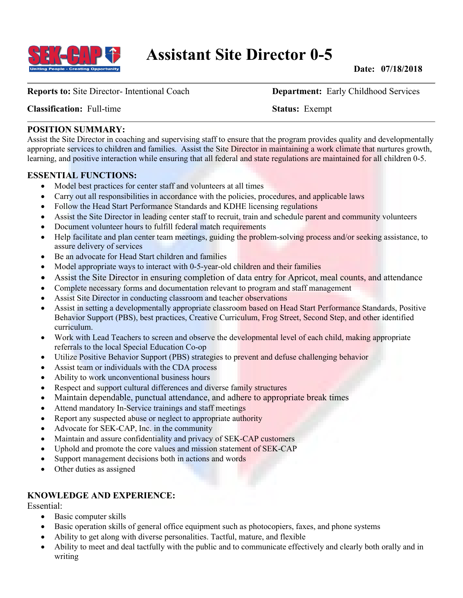

**Reports to:** Site Director- Intentional Coach **Department:** Early Childhood Services

**Classification:** Full-time **Status:** Exempt

#### **POSITION SUMMARY:**

Assist the Site Director in coaching and supervising staff to ensure that the program provides quality and developmentally appropriate services to children and families. Assist the Site Director in maintaining a work climate that nurtures growth, learning, and positive interaction while ensuring that all federal and state regulations are maintained for all children 0-5.

#### **ESSENTIAL FUNCTIONS:**

- Model best practices for center staff and volunteers at all times
- Carry out all responsibilities in accordance with the policies, procedures, and applicable laws
- Follow the Head Start Performance Standards and KDHE licensing regulations
- Assist the Site Director in leading center staff to recruit, train and schedule parent and community volunteers
- Document volunteer hours to fulfill federal match requirements
- Help facilitate and plan center team meetings, guiding the problem-solving process and/or seeking assistance, to assure delivery of services
- Be an advocate for Head Start children and families
- Model appropriate ways to interact with 0-5-year-old children and their families
- Assist the Site Director in ensuring completion of data entry for Apricot, meal counts, and attendance
- Complete necessary forms and documentation relevant to program and staff management
- Assist Site Director in conducting classroom and teacher observations
- Assist in setting a developmentally appropriate classroom based on Head Start Performance Standards, Positive Behavior Support (PBS), best practices, Creative Curriculum, Frog Street, Second Step, and other identified curriculum.
- Work with Lead Teachers to screen and observe the developmental level of each child, making appropriate referrals to the local Special Education Co-op
- Utilize Positive Behavior Support (PBS) strategies to prevent and defuse challenging behavior
- Assist team or individuals with the CDA process
- Ability to work unconventional business hours
- Respect and support cultural differences and diverse family structures
- Maintain dependable, punctual attendance, and adhere to appropriate break times
- Attend mandatory In-Service trainings and staff meetings
- Report any suspected abuse or neglect to appropriate authority
- Advocate for SEK-CAP, Inc. in the community
- Maintain and assure confidentiality and privacy of SEK-CAP customers
- Uphold and promote the core values and mission statement of SEK-CAP
- Support management decisions both in actions and words
- Other duties as assigned

## **KNOWLEDGE AND EXPERIENCE:**

Essential:

- Basic computer skills
- Basic operation skills of general office equipment such as photocopiers, faxes, and phone systems
- Ability to get along with diverse personalities. Tactful, mature, and flexible
- Ability to meet and deal tactfully with the public and to communicate effectively and clearly both orally and in writing